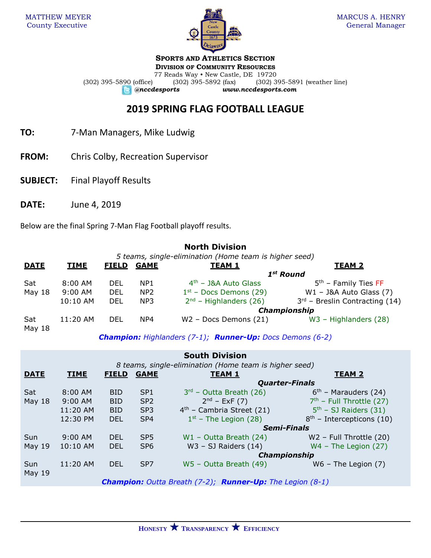

**SPORTS AND ATHLETICS SECTION**

**DIVISION OF COMMUNITY RESOURCES** 77 Reads Way • New Castle, DE 19720 (302) 395-5890 (office) (302) 395-5892 (fax) (302) 395-5891 (weather line) *@nccdesports www.nccdesports.com*

## **2019 SPRING FLAG FOOTBALL LEAGUE**

- **TO:** 7-Man Managers, Mike Ludwig
- **FROM:** Chris Colby, Recreation Supervisor
- **SUBJECT:** Final Playoff Results
- **DATE:** June 4, 2019

Below are the final Spring 7-Man Flag Football playoff results.

## **North Division**

*5 teams, single-elimination (Home team is higher seed)*

| <b>DATE</b>   | <b>TIME</b> | <b>FIELD</b> | <b>GAME</b>     | <b>TEAM 1</b>            | <b>TEAM 2</b>                    |  |
|---------------|-------------|--------------|-----------------|--------------------------|----------------------------------|--|
|               |             |              |                 | $1st$ Round              |                                  |  |
| Sat           | $8:00$ AM   | DEL          | NP <sub>1</sub> | $4th$ – J&A Auto Glass   | $5th$ – Family Ties FF           |  |
| May 18        | $9:00$ AM   | DEL          | NP <sub>2</sub> | $1st$ – Docs Demons (29) | $W1 - J&A$ Auto Glass (7)        |  |
|               | 10:10 AM    | DEL          | NP3             | $2nd$ – Highlanders (26) | $3rd$ – Breslin Contracting (14) |  |
|               |             |              |                 | <b>Championship</b>      |                                  |  |
| Sat<br>May 18 | $11:20$ AM  | DEL          | NP4             | $W2$ – Docs Demons (21)  | $W3$ – Highlanders (28)          |  |

*Champion: Highlanders (7-1); Runner-Up: Docs Demons (6-2)*

|                                                        |                                                                              |                       |                 | <b>South Division</b>       |                             |  |
|--------------------------------------------------------|------------------------------------------------------------------------------|-----------------------|-----------------|-----------------------------|-----------------------------|--|
| 8 teams, single-elimination (Home team is higher seed) |                                                                              |                       |                 |                             |                             |  |
| <b>DATE</b>                                            | <b>TIME</b>                                                                  | <b>FIELD</b>          | <b>GAME</b>     | <b>TEAM 1</b>               | <b>TEAM 2</b>               |  |
|                                                        |                                                                              | <b>Quarter-Finals</b> |                 |                             |                             |  |
| Sat                                                    | $8:00$ AM                                                                    | <b>BID</b>            | SP <sub>1</sub> | $3rd$ – Outta Breath (26)   | $6th$ – Marauders (24)      |  |
| May $18$                                               | $9:00$ AM                                                                    | <b>BID</b>            | SP <sub>2</sub> | $2^{nd}$ – ExF (7)          | $7th$ – Full Throttle (27)  |  |
|                                                        | 11:20 AM                                                                     | <b>BID</b>            | SP <sub>3</sub> | $4th$ – Cambria Street (21) | $5th$ – SJ Raiders (31)     |  |
|                                                        | 12:30 PM                                                                     | <b>DEL</b>            | SP <sub>4</sub> | $1st$ – The Legion (28)     | $8th$ – Intercepticons (10) |  |
|                                                        |                                                                              |                       |                 | <b>Semi-Finals</b>          |                             |  |
| Sun                                                    | $9:00$ AM                                                                    | <b>DEL</b>            | SP <sub>5</sub> | $W1 - Outta$ Breath (24)    | W2 - Full Throttle (20)     |  |
| <b>May 19</b>                                          | 10:10 AM                                                                     | <b>DEL</b>            | SP <sub>6</sub> | $W3 - SJ$ Raiders $(14)$    | $WA$ – The Legion $(27)$    |  |
|                                                        |                                                                              |                       |                 | <b>Championship</b>         |                             |  |
| Sun                                                    | 11:20 AM                                                                     | <b>DEL</b>            | SP <sub>7</sub> | W5 - Outta Breath (49)      | $W6$ – The Legion $(7)$     |  |
| <b>May 19</b>                                          |                                                                              |                       |                 |                             |                             |  |
|                                                        | <b>Champion:</b> Outta Breath $(7-2)$ ; <b>Runner-Up:</b> The Legion $(8-1)$ |                       |                 |                             |                             |  |